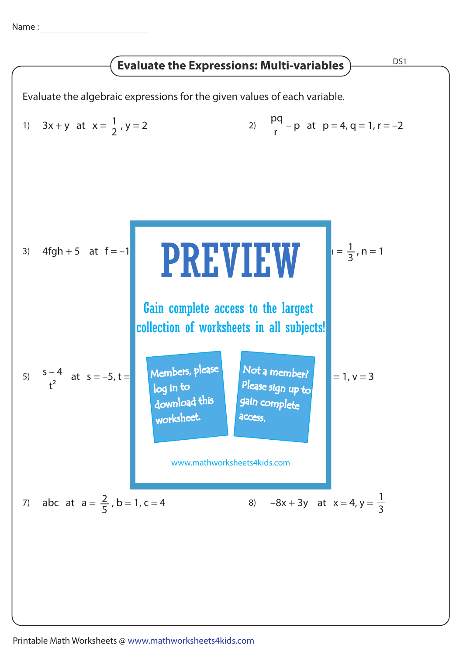